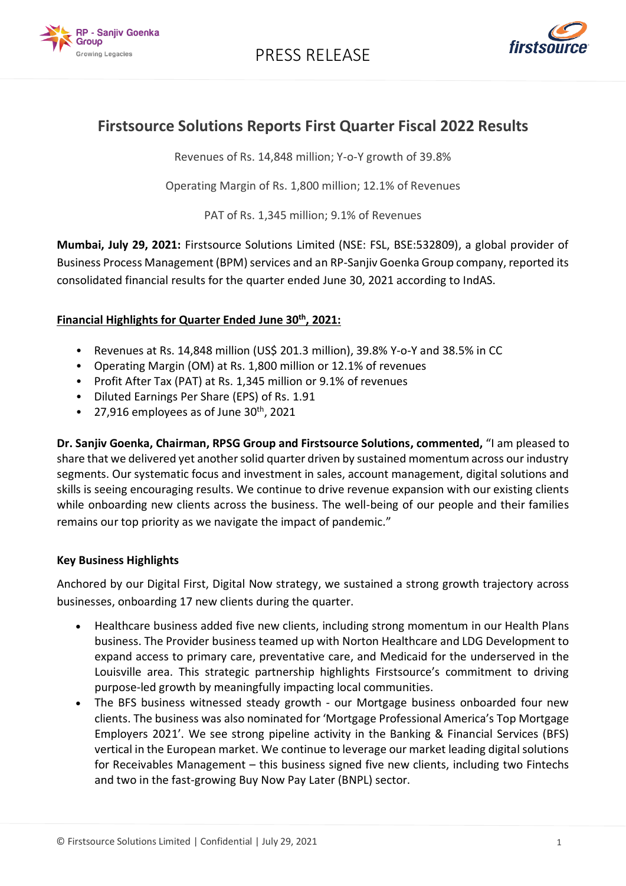



# **Firstsource Solutions Reports First Quarter Fiscal 2022 Results**

Revenues of Rs. 14,848 million; Y-o-Y growth of 39.8%

Operating Margin of Rs. 1,800 million; 12.1% of Revenues

PAT of Rs. 1,345 million; 9.1% of Revenues

**Mumbai, July 29, 2021:** Firstsource Solutions Limited (NSE: FSL, BSE:532809), a global provider of Business Process Management (BPM) services and an RP-Sanjiv Goenka Group company, reported its consolidated financial results for the quarter ended June 30, 2021 according to IndAS.

## **Financial Highlights for Quarter Ended June 30 th, 2021:**

- Revenues at Rs. 14,848 million (US\$ 201.3 million), 39.8% Y-o-Y and 38.5% in CC
- Operating Margin (OM) at Rs. 1,800 million or 12.1% of revenues
- Profit After Tax (PAT) at Rs. 1,345 million or 9.1% of revenues
- Diluted Earnings Per Share (EPS) of Rs. 1.91
- 27,916 employees as of June  $30<sup>th</sup>$ , 2021

**Dr. Sanjiv Goenka, Chairman, RPSG Group and Firstsource Solutions, commented,** "I am pleased to share that we delivered yet another solid quarter driven by sustained momentum across our industry segments. Our systematic focus and investment in sales, account management, digital solutions and skills is seeing encouraging results. We continue to drive revenue expansion with our existing clients while onboarding new clients across the business. The well-being of our people and their families remains our top priority as we navigate the impact of pandemic."

### **Key Business Highlights**

Anchored by our Digital First, Digital Now strategy, we sustained a strong growth trajectory across businesses, onboarding 17 new clients during the quarter.

- Healthcare business added five new clients, including strong momentum in our Health Plans business. The Provider business teamed up with Norton Healthcare and LDG Development to expand access to primary care, preventative care, and Medicaid for the underserved in the Louisville area. This strategic partnership highlights Firstsource's commitment to driving purpose-led growth by meaningfully impacting local communities.
- The BFS business witnessed steady growth our Mortgage business onboarded four new clients. The business was also nominated for 'Mortgage Professional America's Top Mortgage Employers 2021'. We see strong pipeline activity in the Banking & Financial Services (BFS) vertical in the European market. We continue to leverage our market leading digitalsolutions for Receivables Management – this business signed five new clients, including two Fintechs and two in the fast-growing Buy Now Pay Later (BNPL) sector.